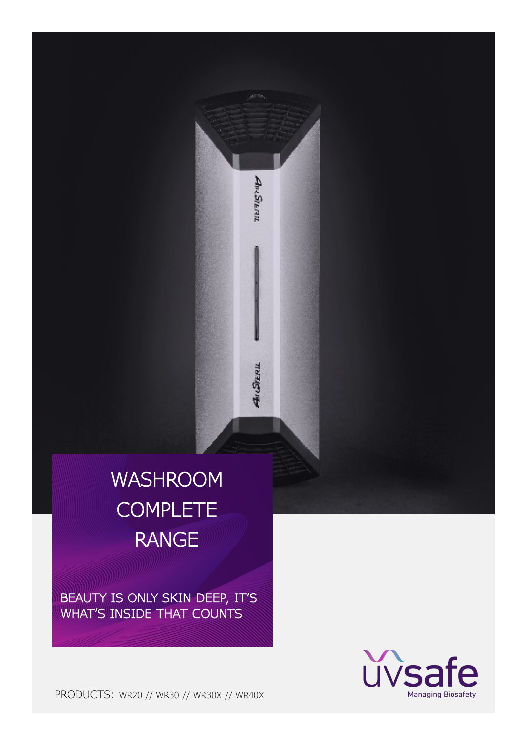# WASHROOM **COMPLETE** RANGE

AMSPERIL

Andren

BEAUTY IS ONLY SKIN DEEP, IT'S WHAT'S INSIDE THAT COUNTS



PRODUCTS: WR20 // WR30 // WR30X // WR40X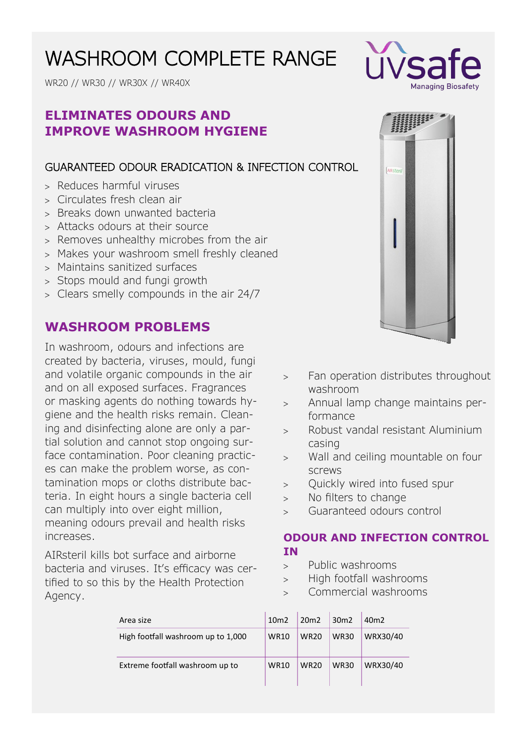# WASHROOM COMPLETE RANGE

WR20 // WR30 // WR30X // WR40X

## **ELIMINATES ODOURS AND IMPROVE WASHROOM HYGIENE**

## GUARANTEED ODOUR ERADICATION & INFECTION CONTROL

- > Reduces harmful viruses
- Circulates fresh clean air
- > Breaks down unwanted bacteria
- Attacks odours at their source
- > Removes unhealthy microbes from the air
- Makes your washroom smell freshly cleaned
- Maintains sanitized surfaces
- > Stops mould and fungi growth
- Clears smelly compounds in the air 24/7

## **WASHROOM PROBLEMS**

In washroom, odours and infections are created by bacteria, viruses, mould, fungi and volatile organic compounds in the air and on all exposed surfaces. Fragrances or masking agents do nothing towards hygiene and the health risks remain. Cleaning and disinfecting alone are only a partial solution and cannot stop ongoing surface contamination. Poor cleaning practices can make the problem worse, as contamination mops or cloths distribute bacteria. In eight hours a single bacteria cell can multiply into over eight million, meaning odours prevail and health risks increases.

AIRsteril kills bot surface and airborne bacteria and viruses. It's efficacy was certified to so this by the Health Protection Agency.



- > Fan operation distributes throughout washroom
- Annual lamp change maintains performance
- Robust vandal resistant Aluminium casing
- Wall and ceiling mountable on four screws
- Quickly wired into fused spur
- > No filters to change
- Guaranteed odours control

### **ODOUR AND INFECTION CONTROL IN**

- Public washrooms
- > High footfall washrooms
- Commercial washrooms

| Area size                          | 10 <sub>m2</sub> | 20 <sub>m</sub> 2 | 30 <sub>m</sub> 2 | 40m2     |
|------------------------------------|------------------|-------------------|-------------------|----------|
| High footfall washroom up to 1,000 | <b>WR10</b>      | <b>WR20</b>       | <b>WR30</b>       | WRX30/40 |
| Extreme footfall washroom up to    | <b>WR10</b>      | <b>WR20</b>       | <b>WR30</b>       | WRX30/40 |

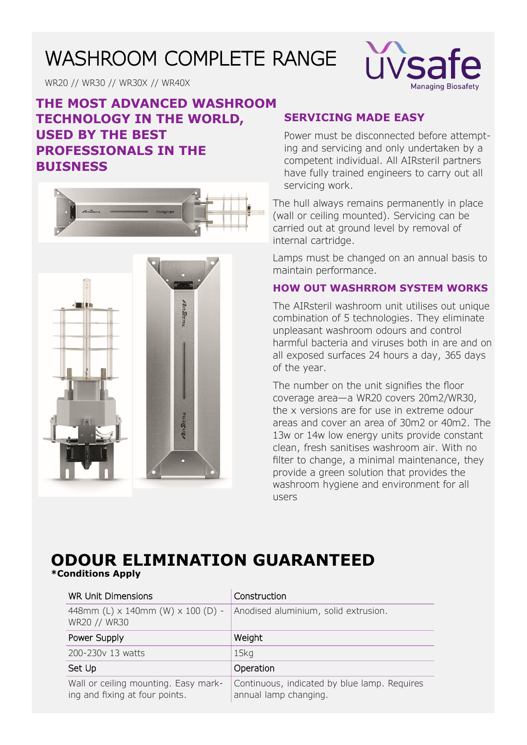# WASHROOM COMPLETE RANGE



WR20 // WR30 // WR30X // WR40X

## **THE MOST ADVANCED WASHROOM TECHNOLOGY IN THE WORLD, USED BY THE BEST PROFESSIONALS IN THE BUISNESS**





### **SERVICING MADE EASY**

Power must be disconnected before attempting and servicing and only undertaken by a competent individual. All AIRsteril partners have fully trained engineers to carry out all servicing work.

The hull always remains permanently in place (wall or ceiling mounted). Servicing can be carried out at ground level by removal of internal cartridge.

Lamps must be changed on an annual basis to maintain performance.

#### **HOW OUT WASHRROM SYSTEM WORKS**

The AIRsteril washroom unit utilises out unique combination of 5 technologies. They eliminate unpleasant washroom odours and control harmful bacteria and viruses both in are and on all exposed surfaces 24 hours a day, 365 days of the year.

The number on the unit signifies the floor coverage area—a WR20 covers 20m2/WR30, the x versions are for use in extreme odour areas and cover an area of 30m2 or 40m2. The 13w or 14w low energy units provide constant clean, fresh sanitises washroom air. With no filter to change, a minimal maintenance, they provide a green solution that provides the washroom hygiene and environment for all users

## **ODOUR ELIMINATION GUARANTEED \*Conditions Apply**

| <b>WR Unit Dimensions</b>                                              | Construction                                                          |
|------------------------------------------------------------------------|-----------------------------------------------------------------------|
| 448mm (L) x 140mm (W) x 100 (D) -<br>WR20 // WR30                      | Anodised aluminium, solid extrusion.                                  |
| Power Supply                                                           | Weight                                                                |
| 200-230y 13 watts                                                      | 15 <sub>kq</sub>                                                      |
| Set Up                                                                 | Operation                                                             |
| Wall or ceiling mounting. Easy mark-<br>ing and fixing at four points. | Continuous, indicated by blue lamp. Requires<br>annual lamp changing. |